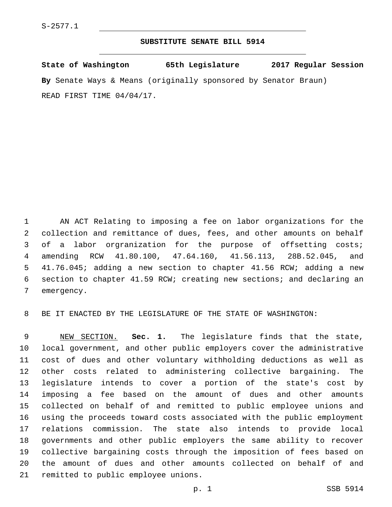## **SUBSTITUTE SENATE BILL 5914**

**State of Washington 65th Legislature 2017 Regular Session By** Senate Ways & Means (originally sponsored by Senator Braun) READ FIRST TIME 04/04/17.

 AN ACT Relating to imposing a fee on labor organizations for the collection and remittance of dues, fees, and other amounts on behalf of a labor orgranization for the purpose of offsetting costs; amending RCW 41.80.100, 47.64.160, 41.56.113, 28B.52.045, and 41.76.045; adding a new section to chapter 41.56 RCW; adding a new section to chapter 41.59 RCW; creating new sections; and declaring an 7 emergency.

BE IT ENACTED BY THE LEGISLATURE OF THE STATE OF WASHINGTON:

 NEW SECTION. **Sec. 1.** The legislature finds that the state, local government, and other public employers cover the administrative cost of dues and other voluntary withholding deductions as well as other costs related to administering collective bargaining. The legislature intends to cover a portion of the state's cost by imposing a fee based on the amount of dues and other amounts collected on behalf of and remitted to public employee unions and using the proceeds toward costs associated with the public employment relations commission. The state also intends to provide local governments and other public employers the same ability to recover collective bargaining costs through the imposition of fees based on the amount of dues and other amounts collected on behalf of and remitted to public employee unions.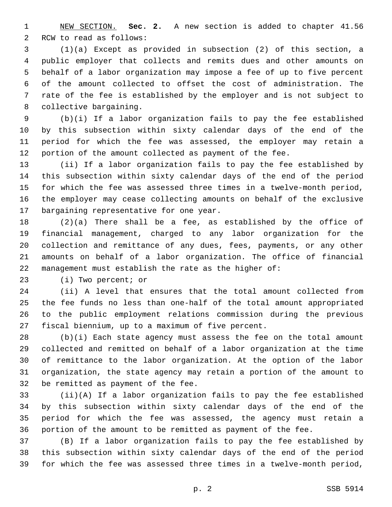NEW SECTION. **Sec. 2.** A new section is added to chapter 41.56 2 RCW to read as follows:

 (1)(a) Except as provided in subsection (2) of this section, a public employer that collects and remits dues and other amounts on behalf of a labor organization may impose a fee of up to five percent of the amount collected to offset the cost of administration. The rate of the fee is established by the employer and is not subject to 8 collective bargaining.

 (b)(i) If a labor organization fails to pay the fee established by this subsection within sixty calendar days of the end of the period for which the fee was assessed, the employer may retain a portion of the amount collected as payment of the fee.

 (ii) If a labor organization fails to pay the fee established by this subsection within sixty calendar days of the end of the period for which the fee was assessed three times in a twelve-month period, the employer may cease collecting amounts on behalf of the exclusive 17 bargaining representative for one year.

 (2)(a) There shall be a fee, as established by the office of financial management, charged to any labor organization for the collection and remittance of any dues, fees, payments, or any other amounts on behalf of a labor organization. The office of financial management must establish the rate as the higher of:

23 (i) Two percent; or

 (ii) A level that ensures that the total amount collected from the fee funds no less than one-half of the total amount appropriated to the public employment relations commission during the previous 27 fiscal biennium, up to a maximum of five percent.

 (b)(i) Each state agency must assess the fee on the total amount collected and remitted on behalf of a labor organization at the time of remittance to the labor organization. At the option of the labor organization, the state agency may retain a portion of the amount to 32 be remitted as payment of the fee.

 (ii)(A) If a labor organization fails to pay the fee established by this subsection within sixty calendar days of the end of the period for which the fee was assessed, the agency must retain a portion of the amount to be remitted as payment of the fee.

 (B) If a labor organization fails to pay the fee established by this subsection within sixty calendar days of the end of the period for which the fee was assessed three times in a twelve-month period,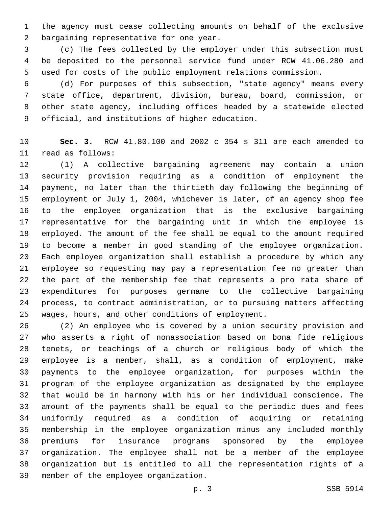the agency must cease collecting amounts on behalf of the exclusive 2 bargaining representative for one year.

 (c) The fees collected by the employer under this subsection must be deposited to the personnel service fund under RCW 41.06.280 and used for costs of the public employment relations commission.

 (d) For purposes of this subsection, "state agency" means every state office, department, division, bureau, board, commission, or other state agency, including offices headed by a statewide elected 9 official, and institutions of higher education.

 **Sec. 3.** RCW 41.80.100 and 2002 c 354 s 311 are each amended to 11 read as follows:

 (1) A collective bargaining agreement may contain a union security provision requiring as a condition of employment the payment, no later than the thirtieth day following the beginning of employment or July 1, 2004, whichever is later, of an agency shop fee to the employee organization that is the exclusive bargaining representative for the bargaining unit in which the employee is employed. The amount of the fee shall be equal to the amount required to become a member in good standing of the employee organization. Each employee organization shall establish a procedure by which any employee so requesting may pay a representation fee no greater than the part of the membership fee that represents a pro rata share of expenditures for purposes germane to the collective bargaining process, to contract administration, or to pursuing matters affecting 25 wages, hours, and other conditions of employment.

 (2) An employee who is covered by a union security provision and who asserts a right of nonassociation based on bona fide religious tenets, or teachings of a church or religious body of which the employee is a member, shall, as a condition of employment, make payments to the employee organization, for purposes within the program of the employee organization as designated by the employee that would be in harmony with his or her individual conscience. The amount of the payments shall be equal to the periodic dues and fees uniformly required as a condition of acquiring or retaining membership in the employee organization minus any included monthly premiums for insurance programs sponsored by the employee organization. The employee shall not be a member of the employee organization but is entitled to all the representation rights of a 39 member of the employee organization.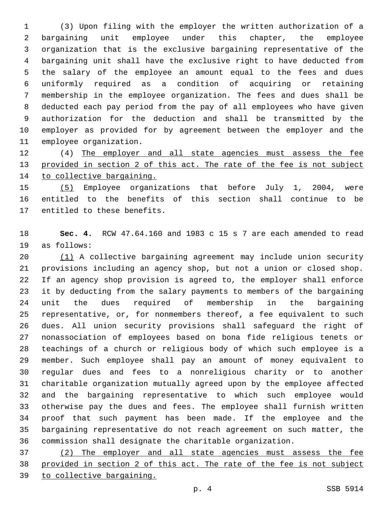(3) Upon filing with the employer the written authorization of a bargaining unit employee under this chapter, the employee organization that is the exclusive bargaining representative of the bargaining unit shall have the exclusive right to have deducted from the salary of the employee an amount equal to the fees and dues uniformly required as a condition of acquiring or retaining membership in the employee organization. The fees and dues shall be deducted each pay period from the pay of all employees who have given authorization for the deduction and shall be transmitted by the employer as provided for by agreement between the employer and the 11 employee organization.

 (4) The employer and all state agencies must assess the fee 13 provided in section 2 of this act. The rate of the fee is not subject 14 to collective bargaining.

 (5) Employee organizations that before July 1, 2004, were entitled to the benefits of this section shall continue to be 17 entitled to these benefits.

 **Sec. 4.** RCW 47.64.160 and 1983 c 15 s 7 are each amended to read 19 as follows:

 (1) A collective bargaining agreement may include union security provisions including an agency shop, but not a union or closed shop. If an agency shop provision is agreed to, the employer shall enforce it by deducting from the salary payments to members of the bargaining unit the dues required of membership in the bargaining representative, or, for nonmembers thereof, a fee equivalent to such dues. All union security provisions shall safeguard the right of nonassociation of employees based on bona fide religious tenets or teachings of a church or religious body of which such employee is a member. Such employee shall pay an amount of money equivalent to regular dues and fees to a nonreligious charity or to another charitable organization mutually agreed upon by the employee affected and the bargaining representative to which such employee would otherwise pay the dues and fees. The employee shall furnish written proof that such payment has been made. If the employee and the bargaining representative do not reach agreement on such matter, the commission shall designate the charitable organization.

 (2) The employer and all state agencies must assess the fee provided in section 2 of this act. The rate of the fee is not subject to collective bargaining.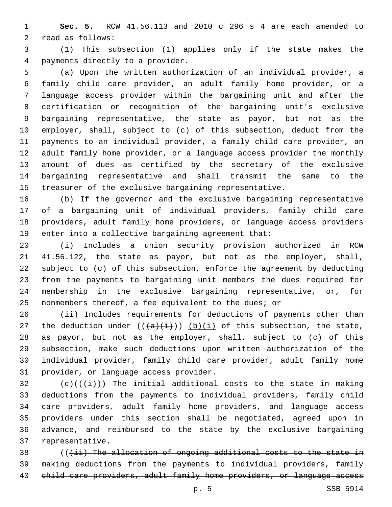**Sec. 5.** RCW 41.56.113 and 2010 c 296 s 4 are each amended to 2 read as follows:

 (1) This subsection (1) applies only if the state makes the payments directly to a provider.4

 (a) Upon the written authorization of an individual provider, a family child care provider, an adult family home provider, or a language access provider within the bargaining unit and after the certification or recognition of the bargaining unit's exclusive bargaining representative, the state as payor, but not as the employer, shall, subject to (c) of this subsection, deduct from the payments to an individual provider, a family child care provider, an adult family home provider, or a language access provider the monthly amount of dues as certified by the secretary of the exclusive bargaining representative and shall transmit the same to the treasurer of the exclusive bargaining representative.

 (b) If the governor and the exclusive bargaining representative of a bargaining unit of individual providers, family child care providers, adult family home providers, or language access providers enter into a collective bargaining agreement that:

 (i) Includes a union security provision authorized in RCW 41.56.122, the state as payor, but not as the employer, shall, subject to (c) of this subsection, enforce the agreement by deducting from the payments to bargaining unit members the dues required for membership in the exclusive bargaining representative, or, for nonmembers thereof, a fee equivalent to the dues; or

 (ii) Includes requirements for deductions of payments other than 27 the deduction under  $((+a)+(i+1))$  (b)(i) of this subsection, the state, as payor, but not as the employer, shall, subject to (c) of this subsection, make such deductions upon written authorization of the individual provider, family child care provider, adult family home 31 provider, or language access provider.

32 (c)(( $(\frac{1}{i})$ ) The initial additional costs to the state in making deductions from the payments to individual providers, family child care providers, adult family home providers, and language access providers under this section shall be negotiated, agreed upon in advance, and reimbursed to the state by the exclusive bargaining 37 representative.

38 (((ii) The allocation of ongoing additional costs to the state in making deductions from the payments to individual providers, family 40 child care providers, adult family home providers, or language access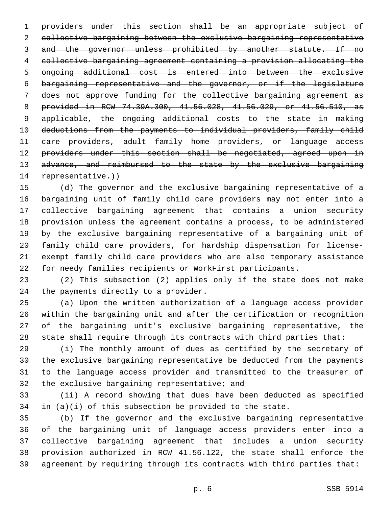providers under this section shall be an appropriate subject of collective bargaining between the exclusive bargaining representative and the governor unless prohibited by another statute. If no collective bargaining agreement containing a provision allocating the ongoing additional cost is entered into between the exclusive bargaining representative and the governor, or if the legislature does not approve funding for the collective bargaining agreement as provided in RCW 74.39A.300, 41.56.028, 41.56.029, or 41.56.510, as applicable, the ongoing additional costs to the state in making deductions from the payments to individual providers, family child care providers, adult family home providers, or language access 12 providers under this section shall be negotiated, agreed upon in 13 advance, and reimbursed to the state by the exclusive bargaining 14 representative.))

 (d) The governor and the exclusive bargaining representative of a bargaining unit of family child care providers may not enter into a collective bargaining agreement that contains a union security provision unless the agreement contains a process, to be administered by the exclusive bargaining representative of a bargaining unit of family child care providers, for hardship dispensation for license- exempt family child care providers who are also temporary assistance for needy families recipients or WorkFirst participants.

 (2) This subsection (2) applies only if the state does not make 24 the payments directly to a provider.

 (a) Upon the written authorization of a language access provider within the bargaining unit and after the certification or recognition of the bargaining unit's exclusive bargaining representative, the state shall require through its contracts with third parties that:

 (i) The monthly amount of dues as certified by the secretary of the exclusive bargaining representative be deducted from the payments to the language access provider and transmitted to the treasurer of 32 the exclusive bargaining representative; and

 (ii) A record showing that dues have been deducted as specified in (a)(i) of this subsection be provided to the state.

 (b) If the governor and the exclusive bargaining representative of the bargaining unit of language access providers enter into a collective bargaining agreement that includes a union security provision authorized in RCW 41.56.122, the state shall enforce the agreement by requiring through its contracts with third parties that: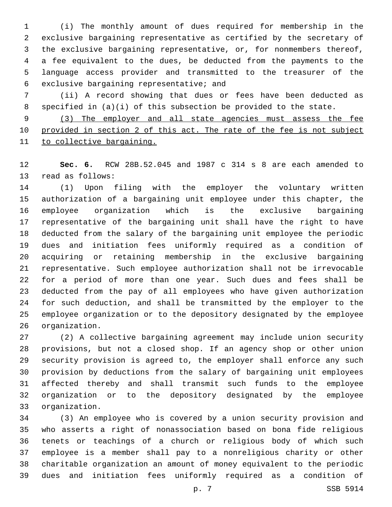(i) The monthly amount of dues required for membership in the exclusive bargaining representative as certified by the secretary of the exclusive bargaining representative, or, for nonmembers thereof, a fee equivalent to the dues, be deducted from the payments to the language access provider and transmitted to the treasurer of the 6 exclusive bargaining representative; and

 (ii) A record showing that dues or fees have been deducted as specified in (a)(i) of this subsection be provided to the state.

 (3) The employer and all state agencies must assess the fee provided in section 2 of this act. The rate of the fee is not subject to collective bargaining.

 **Sec. 6.** RCW 28B.52.045 and 1987 c 314 s 8 are each amended to 13 read as follows:

 (1) Upon filing with the employer the voluntary written authorization of a bargaining unit employee under this chapter, the employee organization which is the exclusive bargaining representative of the bargaining unit shall have the right to have deducted from the salary of the bargaining unit employee the periodic dues and initiation fees uniformly required as a condition of acquiring or retaining membership in the exclusive bargaining representative. Such employee authorization shall not be irrevocable for a period of more than one year. Such dues and fees shall be deducted from the pay of all employees who have given authorization for such deduction, and shall be transmitted by the employer to the employee organization or to the depository designated by the employee 26 organization.

 (2) A collective bargaining agreement may include union security provisions, but not a closed shop. If an agency shop or other union security provision is agreed to, the employer shall enforce any such provision by deductions from the salary of bargaining unit employees affected thereby and shall transmit such funds to the employee organization or to the depository designated by the employee organization.33

 (3) An employee who is covered by a union security provision and who asserts a right of nonassociation based on bona fide religious tenets or teachings of a church or religious body of which such employee is a member shall pay to a nonreligious charity or other charitable organization an amount of money equivalent to the periodic dues and initiation fees uniformly required as a condition of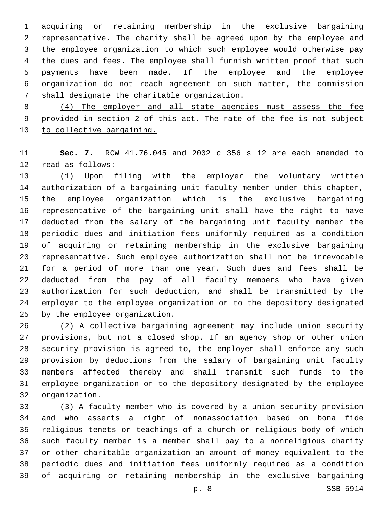acquiring or retaining membership in the exclusive bargaining representative. The charity shall be agreed upon by the employee and the employee organization to which such employee would otherwise pay the dues and fees. The employee shall furnish written proof that such payments have been made. If the employee and the employee organization do not reach agreement on such matter, the commission 7 shall designate the charitable organization.

 (4) The employer and all state agencies must assess the fee provided in section 2 of this act. The rate of the fee is not subject 10 to collective bargaining.

 **Sec. 7.** RCW 41.76.045 and 2002 c 356 s 12 are each amended to 12 read as follows:

 (1) Upon filing with the employer the voluntary written authorization of a bargaining unit faculty member under this chapter, the employee organization which is the exclusive bargaining representative of the bargaining unit shall have the right to have deducted from the salary of the bargaining unit faculty member the periodic dues and initiation fees uniformly required as a condition of acquiring or retaining membership in the exclusive bargaining representative. Such employee authorization shall not be irrevocable for a period of more than one year. Such dues and fees shall be deducted from the pay of all faculty members who have given authorization for such deduction, and shall be transmitted by the employer to the employee organization or to the depository designated 25 by the employee organization.

 (2) A collective bargaining agreement may include union security provisions, but not a closed shop. If an agency shop or other union security provision is agreed to, the employer shall enforce any such provision by deductions from the salary of bargaining unit faculty members affected thereby and shall transmit such funds to the employee organization or to the depository designated by the employee 32 organization.

 (3) A faculty member who is covered by a union security provision and who asserts a right of nonassociation based on bona fide religious tenets or teachings of a church or religious body of which such faculty member is a member shall pay to a nonreligious charity or other charitable organization an amount of money equivalent to the periodic dues and initiation fees uniformly required as a condition of acquiring or retaining membership in the exclusive bargaining